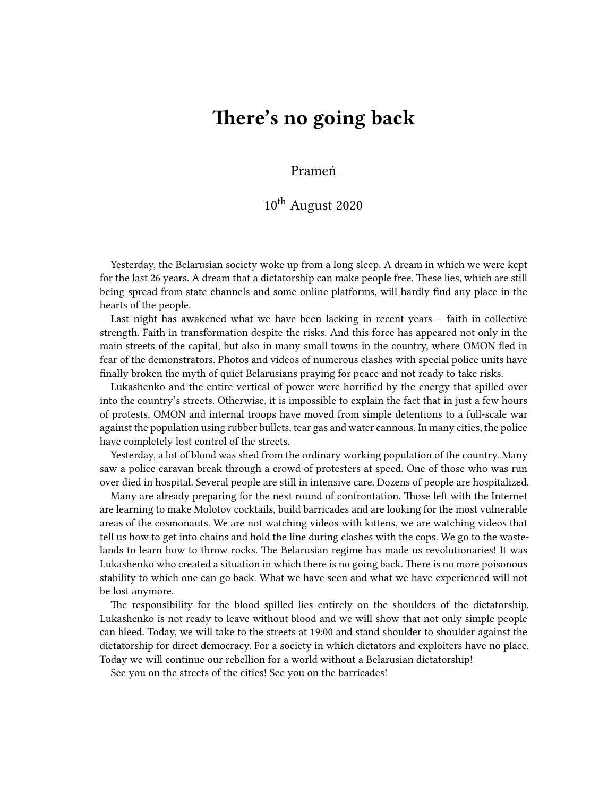## **There's no going back**

Prameń

## 10th August 2020

Yesterday, the Belarusian society woke up from a long sleep. A dream in which we were kept for the last 26 years. A dream that a dictatorship can make people free. These lies, which are still being spread from state channels and some online platforms, will hardly find any place in the hearts of the people.

Last night has awakened what we have been lacking in recent years – faith in collective strength. Faith in transformation despite the risks. And this force has appeared not only in the main streets of the capital, but also in many small towns in the country, where OMON fled in fear of the demonstrators. Photos and videos of numerous clashes with special police units have finally broken the myth of quiet Belarusians praying for peace and not ready to take risks.

Lukashenko and the entire vertical of power were horrified by the energy that spilled over into the country's streets. Otherwise, it is impossible to explain the fact that in just a few hours of protests, OMON and internal troops have moved from simple detentions to a full-scale war against the population using rubber bullets, tear gas and water cannons. In many cities, the police have completely lost control of the streets.

Yesterday, a lot of blood was shed from the ordinary working population of the country. Many saw a police caravan break through a crowd of protesters at speed. One of those who was run over died in hospital. Several people are still in intensive care. Dozens of people are hospitalized.

Many are already preparing for the next round of confrontation. Those left with the Internet are learning to make Molotov cocktails, build barricades and are looking for the most vulnerable areas of the cosmonauts. We are not watching videos with kittens, we are watching videos that tell us how to get into chains and hold the line during clashes with the cops. We go to the wastelands to learn how to throw rocks. The Belarusian regime has made us revolutionaries! It was Lukashenko who created a situation in which there is no going back. There is no more poisonous stability to which one can go back. What we have seen and what we have experienced will not be lost anymore.

The responsibility for the blood spilled lies entirely on the shoulders of the dictatorship. Lukashenko is not ready to leave without blood and we will show that not only simple people can bleed. Today, we will take to the streets at 19:00 and stand shoulder to shoulder against the dictatorship for direct democracy. For a society in which dictators and exploiters have no place. Today we will continue our rebellion for a world without a Belarusian dictatorship!

See you on the streets of the cities! See you on the barricades!